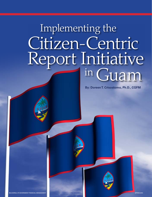# Implementing the Citizen-Centric Report Initiative in Guam

**By: Doreen T. Crisostomo, Ph.D., CGFM**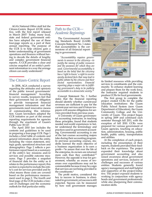AGA's National Office staff led the Citizen-Centric Report (CCR) initiative, with the first report released in March 2007.<sup>1</sup> Today, many local, state and federal government entities have adopted the use of these four-page reports as a part of their annual reporting. The purpose of the CCR is to help citizens gain a better understanding of government operations and finances without having to decode the details of lengthy and complex government financial reports. A CCR provides a clear and concise snapshot of an entity's pertinent information in a way the average citizen can easily understand.2

# The Citizen-Centric Report

In 2008, AGA conducted a survey regarding the attitudes and opinions of the public toward governments' financial management.3 According to survey results, taxpayers feel that their government has an obligation to provide transparent financial management information and that governments need innovative means of communicating this information. Guam lawmakers adopted the CCR initiative as part of the annual reporting requirements for agencies through the enactment of Guam's Public Law 30-127.

The April 2010 law includes the contents and guidelines to be used in preparing a four-page CCR. Page 1 includes a brief table of contents and general information about the entity, including the vision statement, strategic goals, operational structure and demographics. Page 2 reflects a performance report based on a summary of the entity's key missions and/or services and possible outcome measures. Page 3 provides a snapshot of financial data for the entity as it relates to the performance report; this section is expected to include the entity's cost for services provided and by what means those costs are covered based on the performance measurement used in page 2. The fourth and final page of the CCR includes a forecast of challenges and the economic outlook for that particular entity.

# Path to the CCR— *Academic Beginnings*

The Governmental Accounting Standards Board (GASB) Concepts Statement No. 1 states that accountability is the cornerstone of all financial reporting in government.

*"Accountability requires governments to answer to the citizenry—to justify the raising of public resources and the purposes for which they are used. Governmental accountability is based on the belief that the citizenry has a 'right to know,' a right to receive openly declared facts that may lead to public debate by the citizens and their elected representatives. Financial reporting plays a major role in fulfilling government's duty to be publicly accountable in a democratic society."4* Francise shapshot of an entity's perti-<br>
in the purposes for which they are<br>
nent information in a way the average<br>
in Guam in Guam in a way the average<br>
less don the belief that the citizenry<br>
less a 'right to know', a ri

> Concept Statement No. 1 further states that the financial reporting should identify whether current-year revenues are sufficient to pay for the current-year services and if future taxpayers will assume obligations for services provided from previous years.

> A University of Guam governmental accounting instructor, in teaching these principles, found that students needed real-world experiences to better understand the terminology and practices used in government accounting. Governmental accounting is one of the last courses accounting majors take during their accounting program. In previous accounting courses, students learned the main objective of a business organization is to earn a profit—"to assure that over the life of the enterprise, its owners are returned more cash than they contributed."5 However, the opposite is true for government, whereby an excess of revenues over expenditures may not be commendable because it may be a sign that services are not being provided to the constituents.<sup>6</sup>

> The profit motive, considered the key to success in business, is eliminated in government, yet success is still expected. Success can be measured by how well government manages



services to constituents and the community. To enhance student learning and prepare them for the work force, the instructor required students to produce CCRs for local governments.

The first group to complete the project created CCRs for the public education institutions: the Guam Public School System (now Guam Department of Education), the Guam Community College and the University of Guam. This project began in spring 2009 and continued each semester through fall 2011, with the exception of fall 2010. CCRs were prepared for various government of Guam agencies, touching on education, administration, housing, public health, public safety, transportation and utilities.

At the completion of each project, including the presentation of their reports, students provided their feedback on the experience. The project expanded their knowledge about government accounting and also raised awareness about government operations and services, inclusive of challenges and successes of various entities. Students generally found agency management and staff helpful and supportive of the project/initiative. The project exposed students to working in conjunction with agency heads and government professionals, while also sharpening their communication skills.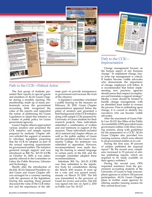



### Path to the CCR— *Implementation*

Change management focuses on the human aspect of any business change.7 To implement change, buyin from top management is critical. If leaders become visible advocates who demonstrate the importance of change, employees will follow. It is recommended that before implementing new practices, agencies should assess their impact on employees and formulate a support strategy.8 Ideally, a team should be formed to handle change management, with an identified team leader to oversee the process. Prior to embarking upon change, it is crucial to identify key executives who can become visible advocates.

After the enactment of Guam Public Law 30-127, the Office of the Public Accountability (OPA) provided Guam government entities with three training sessions, along with guidelines for the preparation of a CCR.<sup>9</sup> AGA's Guam Chapter also provided two training sessions, which were offered to all government entities at no cost.

During the first year, 49 percent of entities published the required report.<sup>10</sup> By the second year, compliance increased to 93 percent of entities publishing reports, which are required to be made available on their agency websites.<sup>11</sup>

During the second year, OPA requested assistance from the government accounting students at the University of Guam to help noncompliant agencies to achieve 100 percent participation. AGA's Guam Chapter plans to further assist agencies by offering another training session for this current fiscal year.

# Path to the CCR—*Political Action*

The first group of students presented their reports to special guests and members of AGA's Guam Chapter during a monthly meeting. The membership, made up of many professionals across the government accounting field, recognized the value of the reports and supported the notion of petitioning the Guam Legislature to adopt this initiative as a matter of public policy for Guam government agencies.

Guam Chapter officers approached various senators and presented the CCR initiative and sample reports prepared by students. Chapter officers solicited the support of senators to introduce legislation proposing that the CCR be adopted as part of the annual reporting requirements for government entities. The initiative garnered enough support and was introduced as Bill No. 263-30 (COR) on October 16, 2009; it was subsequently referred to the Committee on Labor, the Public Structure, Libraries and Technology.

Shortly after the introduction of the bill, AGA's National President visited Guam and Guam Chapter officers arranged for a courtesy meeting with the sponsors of the legislation. During this meeting, those present discussed the value of the CCR initiative and the importance of the ultimate goal—to provide transparency in government and increase the trust of the citizenry.

A legislative committee scheduled a public hearing on the measure on February 18, 2010. Guam Chapter representatives appeared before the panel of senators and presented a brief background of the CCR initiative along with sample CCRs prepared by University of Guam students for their research projects. Nine individuals submitted a combination of written and oral testimony in support of the measure. These individuals included AGA national and chapter officers, as well as the public auditor of Guam and the president of the Guam Community College. No testimony was submitted in opposition. However, recommendations were made during the hearing to amend language in certain parts of the bill, and the oversight committee adopted these recommendations.

Substitute Bill No. 263-30 (COR) was then submitted to the legislative body for consideration during the March 2010 session. It went up for a vote, and was passed unanimously on March 19, 2010. The bill was transmitted to the governor of Guam for review and action. The bill was signed into law on April 2, 2010 as Public Law No. 30-127.